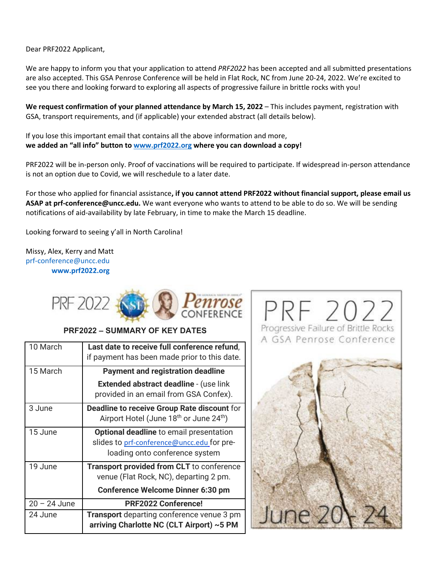Dear PRF2022 Applicant,

We are happy to inform you that your application to attend *PRF2022* has been accepted and all submitted presentations are also accepted. This GSA Penrose Conference will be held in Flat Rock, NC from June 20-24, 2022. We're excited to see you there and looking forward to exploring all aspects of progressive failure in brittle rocks with you!

**We request confirmation of your planned attendance by March 15, 2022** – This includes payment, registration with GSA, transport requirements, and (if applicable) your extended abstract (all details below).

If you lose this important email that contains all the above information and more, **we added an "all info" button t[o www.prf2022.org](http://www.prf2022.org/) where you can download a copy!**

PRF2022 will be in-person only. Proof of vaccinations will be required to participate. If widespread in-person attendance is not an option due to Covid, we will reschedule to a later date.

For those who applied for financial assistance**, if you cannot attend PRF2022 without financial support, please email us ASAP at prf-conference@uncc.edu.** We want everyone who wants to attend to be able to do so. We will be sending notifications of aid-availability by late February, in time to make the March 15 deadline.

Looking forward to seeing y'all in North Carolina!

Missy, Alex, Kerry and Matt [prf-conference@uncc.edu](mailto:prf-conference@uncc.edu) **www.prf2022.org**



## **PRF2022 – SUMMARY OF KEY DATES**

| 10 March       | Last date to receive full conference refund,<br>if payment has been made prior to this date.                                   |
|----------------|--------------------------------------------------------------------------------------------------------------------------------|
| 15 March       | <b>Payment and registration deadline</b>                                                                                       |
|                | <b>Extended abstract deadline - (use link</b><br>provided in an email from GSA Confex).                                        |
| 3 June         | <b>Deadline to receive Group Rate discount for</b><br>Airport Hotel (June 18 <sup>th</sup> or June 24 <sup>th</sup> )          |
| 15 June        | <b>Optional deadline</b> to email presentation<br>slides to prf-conference@uncc.edu for pre-<br>loading onto conference system |
| 19 June        | <b>Transport provided from CLT</b> to conference<br>venue (Flat Rock, NC), departing 2 pm.                                     |
|                | <b>Conference Welcome Dinner 6:30 pm</b>                                                                                       |
| $20 - 24$ June | <b>PRF2022 Conference!</b>                                                                                                     |
| 24 June        | Transport departing conference venue 3 pm<br>arriving Charlotte NC (CLT Airport) ~5 PM                                         |

PRF 2022 Progressive Failure of Brittle Rocks A GSA Penrose Conference

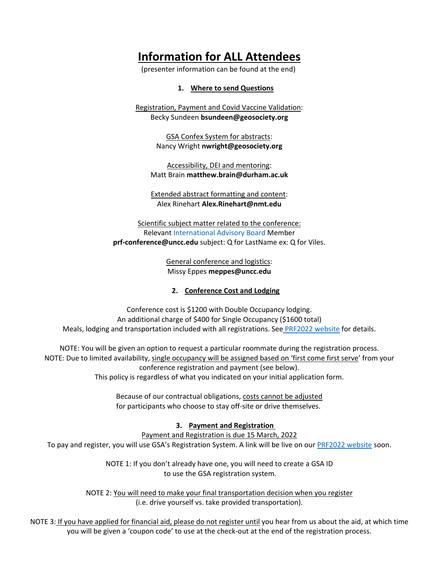# **Information for ALL Attendees**

(presenter information can be found at the end)

**1. Where to send Questions**

Registration, Payment and Covid Vaccine Validation: Becky Sundeen **[bsundeen@geosociety.org](mailto:bsundeen@geosociety.org)**

> GSA Confex System for abstracts: Nancy Wright **nwright@geosociety.org**

Accessibility, DEI and mentoring: Matt Brain **matthew.brain@durham.ac.uk**

Extended abstract formatting and content: Alex Rinehart **Alex.Rinehart@nmt.edu**

Scientific subject matter related to the conference: Relevant [International Advisory Board](https://www.prf2022.org/advisory-panel-keynotes) Member **[prf-conference@uncc.edu](mailto:prf-conference@uncc.edu)** subject: Q for LastName ex: Q for Viles.

> General conference and logistics: Missy Eppes **meppes@uncc.edu**

## **2. Conference Cost and Lodging**

Conference cost is \$1200 with Double Occupancy lodging. An additional charge of \$400 for Single Occupancy (\$1600 total) Meals, lodging and transportation included with all registrations. See [PRF2022 website](https://www.prf2022.org/what-is-included-costs) for details.

NOTE: You will be given an option to request a particular roommate during the registration process. NOTE: Due to limited availability, single occupancy will be assigned based on 'first come first serve' from your conference registration and payment (see below). This policy is regardless of what you indicated on your initial application form.

> Because of our contractual obligations, costs cannot be adjusted for participants who choose to stay off-site or drive themselves.

## **3. Payment and Registration**

Payment and Registration is due 15 March, 2022

To pay and register, you will use GSA's Registration System. A link will be live on ou[r PRF2022 website](https://www.prf2022.org/how-to-apply-1) soon.

NOTE 1: If you don't already have one, you will need to create a GSA ID to use the GSA registration system.

NOTE 2: You will need to make your final transportation decision when you register (i.e. drive yourself vs. take provided transportation).

NOTE 3: If you have applied for financial aid, please do not register until you hear from us about the aid, at which time you will be given a 'coupon code' to use at the check-out at the end of the registration process.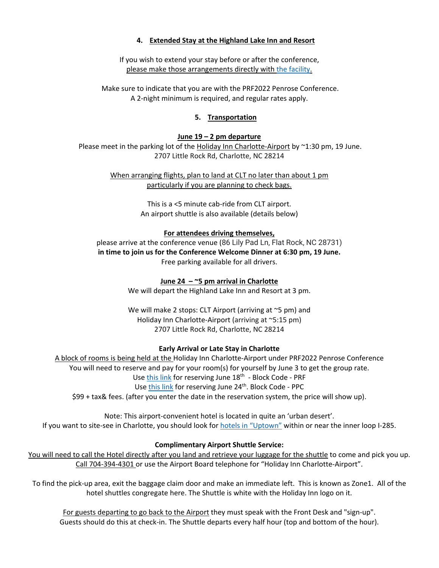## **4. Extended Stay at the Highland Lake Inn and Resort**

If you wish to extend your stay before or after the conference, please make those arrangements directly with [the facility.](https://hliresort.com/specials/)

Make sure to indicate that you are with the PRF2022 Penrose Conference. A 2-night minimum is required, and regular rates apply.

## **5. Transportation**

## **June 19 – 2 pm departure**

Please meet in the parking lot of the Holiday Inn Charlotte-Airport by ~1:30 pm, 19 June. 2707 Little Rock Rd, Charlotte, NC 28214

> When arranging flights, plan to land at CLT no later than about 1 pm particularly if you are planning to check bags.

> > This is a <5 minute cab-ride from CLT airport. An airport shuttle is also available (details below)

#### **For attendees driving themselves,**

please arrive at the conference venue (86 Lily Pad Ln, Flat Rock, NC 28731) **in time to join us for the Conference Welcome Dinner at 6:30 pm, 19 June.** Free parking available for all drivers.

## **June 24 – ~5 pm arrival in Charlotte**

We will depart the Highland Lake Inn and Resort at 3 pm.

We will make 2 stops: CLT Airport (arriving at ~5 pm) and Holiday Inn Charlotte-Airport (arriving at ~5:15 pm) 2707 Little Rock Rd, Charlotte, NC 28214

#### **Early Arrival or Late Stay in Charlotte**

A block of rooms is being held at the Holiday Inn Charlotte-Airport under PRF2022 Penrose Conference You will need to reserve and pay for your room(s) for yourself by June 3 to get the group rate. Us[e this link](https://www.ihg.com/holidayinn/hotels/us/en/charlotte/cltap/hoteldetail?fromRedirect=true&qSrt=sBR&qIta=99801505&icdv=99801505&qSlH=CLTAP&qGrpCd=PRF&setPMCookies=true&qSHBrC=HI&qDest=2707%20Little%20Rock%20Rd,%20Charlotte,%20NC,%20US&srb_u=1) for reserving June 18<sup>th</sup> - Block Code - PRF Use [this link](https://www.ihg.com/holidayinn/hotels/us/en/charlotte/cltap/hoteldetail?fromRedirect=true&qSrt=sBR&qIta=99801505&icdv=99801505&qSlH=cltap&qGrpCd=PPC&setPMCookies=true&qSHBrC=HI&qDest=2707%20Little%20Rock%20Rd,%20Charlotte,%20NC,%20US&srb_u=1) for reserving June 24<sup>th</sup>. Block Code - PPC \$99 + tax& fees. (after you enter the date in the reservation system, the price will show up).

Note: This airport-convenient hotel is located in quite an 'urban desert'. If you want to site-see in Charlotte, you should look for [hotels in "Uptown"](https://www.charlottesgotalot.com/places-to-stay?utm_source=google&utm_medium=cpc&campaignid=15097073206&utm_adgroupid=129267544539&utm_term=hotels%20uptown%20charlotte&utm_campaign=&gclid=CjwKCAiAl-6PBhBCEiwAc2GOVLMcnUUpvvMFnFlLFkvwCc2uGeOuShGGyYQpvY7ng-0MQcjheHbOdxoCUnEQAvD_BwE) within or near the inner loop I-285.

#### **Complimentary Airport Shuttle Service:**

You will need to call the Hotel directly after you land and retrieve your luggage for the shuttle to come and pick you up. Call 704-394-4301 or use the Airport Board telephone for "Holiday Inn Charlotte-Airport".

To find the pick-up area, exit the baggage claim door and make an immediate left. This is known as Zone1. All of the hotel shuttles congregate here. The Shuttle is white with the Holiday Inn logo on it.

For guests departing to go back to the Airport they must speak with the Front Desk and "sign-up". Guests should do this at check-in. The Shuttle departs every half hour (top and bottom of the hour).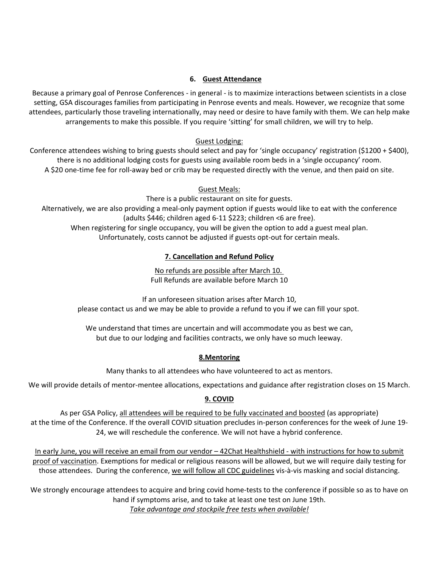## **6. Guest Attendance**

Because a primary goal of Penrose Conferences - in general - is to maximize interactions between scientists in a close setting, GSA discourages families from participating in Penrose events and meals. However, we recognize that some attendees, particularly those traveling internationally, may need or desire to have family with them. We can help make arrangements to make this possible. If you require 'sitting' for small children, we will try to help.

## Guest Lodging:

Conference attendees wishing to bring guests should select and pay for 'single occupancy' registration (\$1200 + \$400), there is no additional lodging costs for guests using available room beds in a 'single occupancy' room. A \$20 one-time fee for roll-away bed or crib may be requested directly with the venue, and then paid on site.

## Guest Meals:

There is a public restaurant on site for guests.

Alternatively, we are also providing a meal-only payment option if guests would like to eat with the conference (adults \$446; children aged 6-11 \$223; children <6 are free). When registering for single occupancy, you will be given the option to add a guest meal plan.

Unfortunately, costs cannot be adjusted if guests opt-out for certain meals.

## **7. Cancellation and Refund Policy**

No refunds are possible after March 10. Full Refunds are available before March 10

If an unforeseen situation arises after March 10, please contact us and we may be able to provide a refund to you if we can fill your spot.

We understand that times are uncertain and will accommodate you as best we can, but due to our lodging and facilities contracts, we only have so much leeway.

## **8.Mentoring**

Many thanks to all attendees who have volunteered to act as mentors.

We will provide details of mentor-mentee allocations, expectations and guidance after registration closes on 15 March.

## **9. COVID**

As per GSA Policy, all attendees will be required to be fully vaccinated and boosted (as appropriate) at the time of the Conference. If the overall COVID situation precludes in-person conferences for the week of June 19- 24, we will reschedule the conference. We will not have a hybrid conference.

In early June, you will receive an email from our vendor – 42Chat Healthshield - with instructions for how to submit proof of vaccination. Exemptions for medical or religious reasons will be allowed, but we will require daily testing for those attendees. During the conference, we will follow all CDC guidelines vis-à-vis masking and social distancing.

We strongly encourage attendees to acquire and bring covid home-tests to the conference if possible so as to have on hand if symptoms arise, and to take at least one test on June 19th. *Take advantage and stockpile free tests when available!*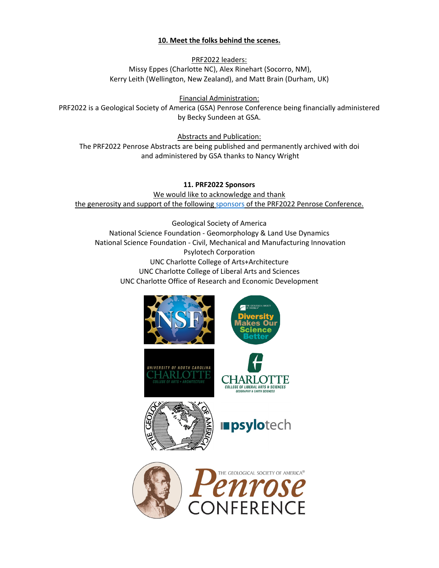## **10. Meet the folks behind the scenes.**

PRF2022 leaders: Missy Eppes (Charlotte NC), Alex Rinehart (Socorro, NM), Kerry Leith (Wellington, New Zealand), and Matt Brain (Durham, UK)

Financial Administration: PRF2022 is a Geological Society of America (GSA) Penrose Conference being financially administered by Becky Sundeen at GSA.

Abstracts and Publication: The PRF2022 Penrose Abstracts are being published and permanently archived with doi and administered by GSA thanks to Nancy Wright

**11. PRF2022 Sponsors** We would like to acknowledge and thank the generosity and support of the following [sponsors](https://www.prf2022.org/sponsors-1) of the PRF2022 Penrose Conference.

Geological Society of America National Science Foundation - Geomorphology & Land Use Dynamics National Science Foundation - Civil, Mechanical and Manufacturing Innovation Psylotech Corporation UNC Charlotte College of Arts+Architecture UNC Charlotte College of Liberal Arts and Sciences UNC Charlotte Office of Research and Economic Development

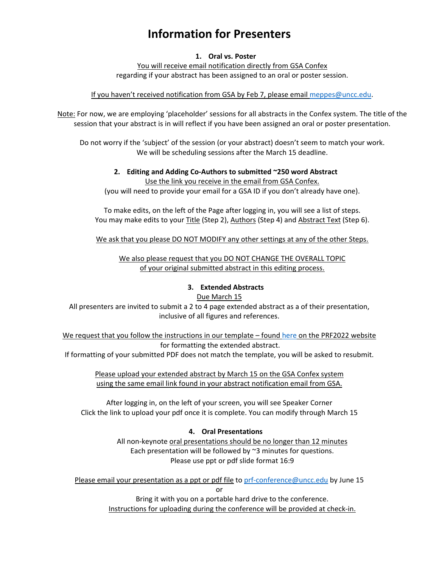## **Information for Presenters**

#### **1. Oral vs. Poster**

You will receive email notification directly from GSA Confex regarding if your abstract has been assigned to an oral or poster session.

#### If you haven't received notification from GSA by Feb 7, please email [meppes@uncc.edu.](mailto:meppes@uncc.edu)

Note: For now, we are employing 'placeholder' sessions for all abstracts in the Confex system. The title of the session that your abstract is in will reflect if you have been assigned an oral or poster presentation.

Do not worry if the 'subject' of the session (or your abstract) doesn't seem to match your work. We will be scheduling sessions after the March 15 deadline.

## **2. Editing and Adding Co-Authors to submitted ~250 word Abstract** Use the link you receive in the email from GSA Confex.

(you will need to provide your email for a GSA ID if you don't already have one).

To make edits, on the left of the Page after logging in, you will see a list of steps. You may make edits to your Title (Step 2), Authors (Step 4) and Abstract Text (Step 6).

We ask that you please DO NOT MODIFY any other settings at any of the other Steps.

We also please request that you DO NOT CHANGE THE OVERALL TOPIC of your original submitted abstract in this editing process.

#### **3. Extended Abstracts**

#### Due March 15

All presenters are invited to submit a 2 to 4 page extended abstract as a of their presentation, inclusive of all figures and references.

We request that you [follow the instructions in our template –](https://www.prf2022.org/presentation-formats) foun[d here](https://www.prf2022.org/presentation-formats) on the PRF2022 website for formatting the extended abstract.

If formatting of your submitted PDF does not match the template, you will be asked to resubmit.

Please upload your extended abstract by March 15 on the GSA Confex system using the same email link found in your abstract notification email from GSA.

After logging in, on the left of your screen, you will see Speaker Corner Click the link to upload your pdf once it is complete. You can modify through March 15

## **4. Oral Presentations**

All non-keynote oral presentations should be no longer than 12 minutes Each presentation will be followed by ~3 minutes for questions. Please use ppt or pdf slide format 16:9

Please email your presentation as a ppt or pdf file t[o prf-conference@uncc.edu](mailto:prf-conference@uncc.edu) by June 15 or

> Bring it with you on a portable hard drive to the conference. Instructions for uploading during the conference will be provided at check-in.